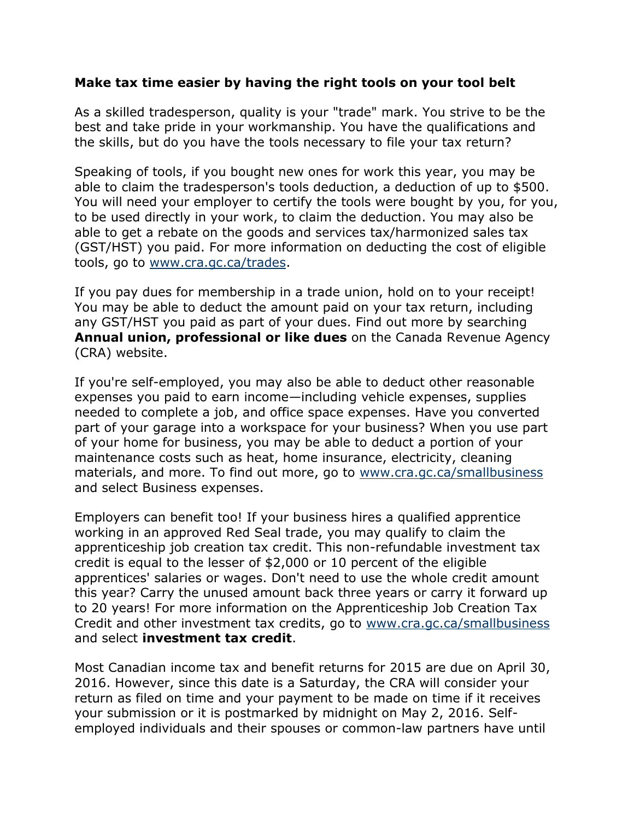## **Make tax time easier by having the right tools on your tool belt**

As a skilled tradesperson, quality is your "trade" mark. You strive to be the best and take pride in your workmanship. You have the qualifications and the skills, but do you have the tools necessary to file your tax return?

Speaking of tools, if you bought new ones for work this year, you may be able to claim the tradesperson's tools deduction, a deduction of up to \$500. You will need your employer to certify the tools were bought by you, for you, to be used directly in your work, to claim the deduction. You may also be able to get a rebate on the goods and services tax/harmonized sales tax (GST/HST) you paid. For more information on deducting the cost of eligible tools, go to [www.cra.gc.ca/trades.](http://www.cra.gc.ca/trades)

If you pay dues for membership in a trade union, hold on to your receipt! You may be able to deduct the amount paid on your tax return, including any GST/HST you paid as part of your dues. Find out more by searching **Annual union, professional or like dues** on the Canada Revenue Agency (CRA) website.

If you're self-employed, you may also be able to deduct other reasonable expenses you paid to earn income—including vehicle expenses, supplies needed to complete a job, and office space expenses. Have you converted part of your garage into a workspace for your business? When you use part of your home for business, you may be able to deduct a portion of your maintenance costs such as heat, home insurance, electricity, cleaning materials, and more. To find out more, go to [www.cra.gc.ca/smallbusiness](http://www.cra.gc.ca/smallbusiness) and select Business expenses.

Employers can benefit too! If your business hires a qualified apprentice working in an approved Red Seal trade, you may qualify to claim the apprenticeship job creation tax credit. This non-refundable investment tax credit is equal to the lesser of \$2,000 or 10 percent of the eligible apprentices' salaries or wages. Don't need to use the whole credit amount this year? Carry the unused amount back three years or carry it forward up to 20 years! For more information on the Apprenticeship Job Creation Tax Credit and other investment tax credits, go to [www.cra.gc.ca/smallbusiness](http://www.cra.gc.ca/smallbusiness) and select **investment tax credit**.

Most Canadian income tax and benefit returns for 2015 are due on April 30, 2016. However, since this date is a Saturday, the CRA will consider your return as filed on time and your payment to be made on time if it receives your submission or it is postmarked by midnight on May 2, 2016. Selfemployed individuals and their spouses or common-law partners have until